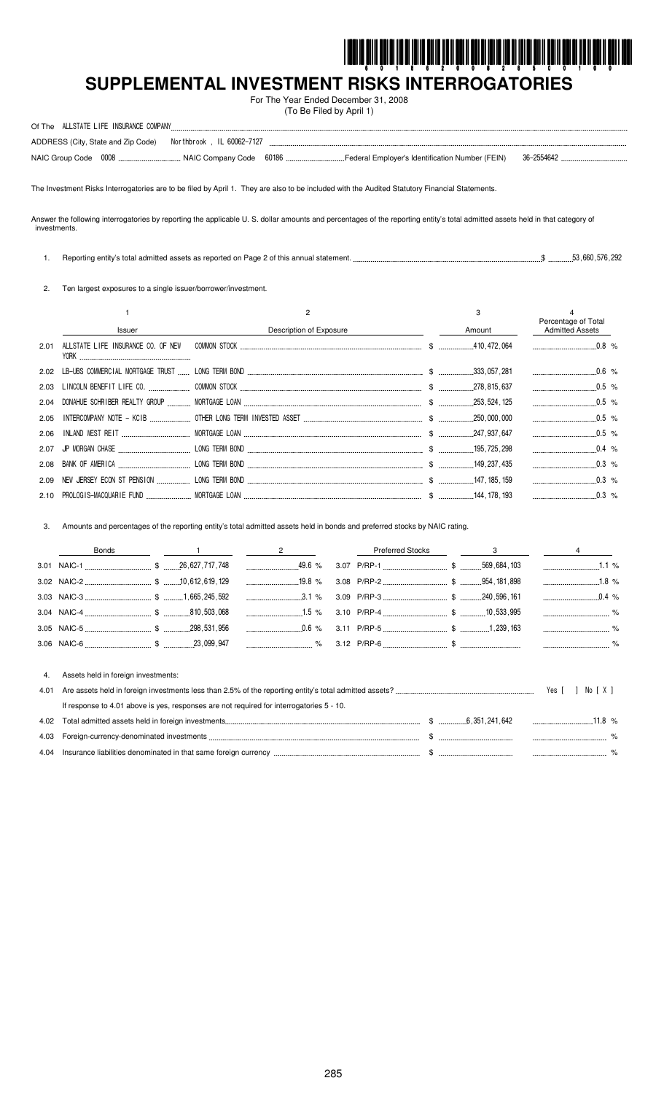

...... %

# SUPPLEMENTAL INVESTMENT RISKS INTERROGATORIES

For The Year Ended December 31, 2008 (To Be Filed by April 1)

| Of The ALLSTATE LIFE INSURANCE COMPANY                          |                                                   |            |
|-----------------------------------------------------------------|---------------------------------------------------|------------|
| ADDRESS (City, State and Zip Code)    Morthbrook, IL 60062-7127 |                                                   |            |
|                                                                 | ` Federal Employer's Identification Number (FEIN) | 36-2554642 |

The Investment Risks Interrogatories are to be filed by April 1. They are also to be included with the Audited Statutory Financial Statements.

Answer the following interrogatories by reporting the applicable U. S. dollar amounts and percentages of the reporting entity's total admitted assets held in that category of investments.

1. Reporting entity's total admitted assets as reported on Page 2 of this annual statement. .....  $\$\dots$ \$ .............53,660,576,292

2. Ten largest exposures to a single issuer/borrower/investment.

|               |                                                                                                         | 3      | Percentage of Total    |  |
|---------------|---------------------------------------------------------------------------------------------------------|--------|------------------------|--|
| <b>Issuer</b> | Description of Exposure                                                                                 | Amount | <b>Admitted Assets</b> |  |
|               |                                                                                                         |        |                        |  |
|               |                                                                                                         |        |                        |  |
|               |                                                                                                         |        | $0.5\%$                |  |
|               |                                                                                                         |        |                        |  |
|               |                                                                                                         |        |                        |  |
|               |                                                                                                         |        | 0.5 %                  |  |
|               | 2.07 JP MORGAN CHASE CONCIDENT AND LONG TERM BOND CONTINUES A CONTROL 2.07 JP MORGAN CHASE CONTROL 2.98 |        | $0.4\%$                |  |
|               |                                                                                                         |        | $0.3\%$                |  |
|               |                                                                                                         |        | $0.3\%$                |  |
|               |                                                                                                         |        | $\sim$ 0.3 %           |  |

Amounts and percentages of the reporting entity's total admitted assets held in bonds and preferred stocks by NAIC rating.  $3.$ 

|      | <b>Bonds</b>                                                                             | $\overline{2}$ | <b>Preferred Stocks</b> | $3 \sim 3$ |                |        |
|------|------------------------------------------------------------------------------------------|----------------|-------------------------|------------|----------------|--------|
|      |                                                                                          |                |                         |            |                | 1.1%   |
|      |                                                                                          |                |                         |            |                |        |
|      |                                                                                          | $3.1\%$        |                         |            | $\ldots$ 0.4 % |        |
|      |                                                                                          |                |                         |            |                |        |
|      |                                                                                          |                |                         |            |                |        |
|      |                                                                                          |                |                         |            |                |        |
|      |                                                                                          |                |                         |            |                |        |
| 4.   | Assets held in foreign investments:                                                      |                |                         |            |                |        |
| 4.01 |                                                                                          |                |                         |            | Yes II         | No [X] |
|      | If response to 4.01 above is yes, responses are not required for interrogatories 5 - 10. |                |                         |            |                |        |
| 4.02 |                                                                                          |                |                         |            |                |        |
| 4.03 |                                                                                          |                |                         |            |                |        |

4.04 Insurance liabilities denominated in that same foreign currency .....  $\frac{1}{2}$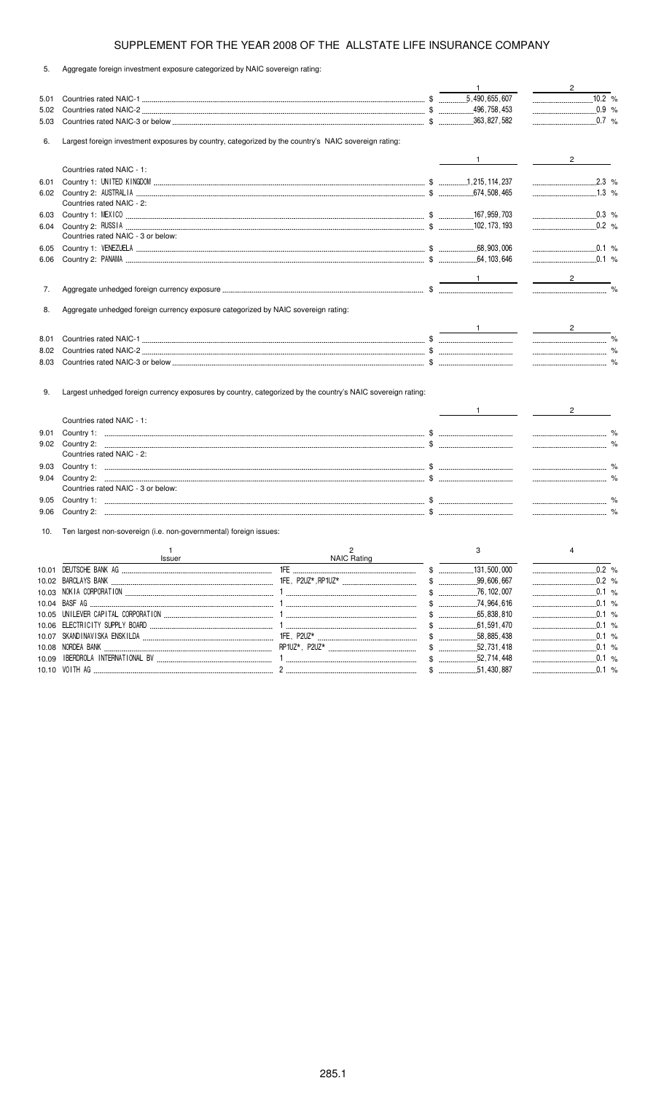5. Aggregate foreign investment exposure categorized by NAIC sovereign rating:

|      |                                                                                                      |                                                                                                             | $\mathbf{1}$                                                                                                                                                                                                                                                                                                                                                                                                         | $2^{\circ}$                                                                                                                                                                                                                                                                                                                                                                                                                                                                     |
|------|------------------------------------------------------------------------------------------------------|-------------------------------------------------------------------------------------------------------------|----------------------------------------------------------------------------------------------------------------------------------------------------------------------------------------------------------------------------------------------------------------------------------------------------------------------------------------------------------------------------------------------------------------------|---------------------------------------------------------------------------------------------------------------------------------------------------------------------------------------------------------------------------------------------------------------------------------------------------------------------------------------------------------------------------------------------------------------------------------------------------------------------------------|
| 5.01 |                                                                                                      |                                                                                                             |                                                                                                                                                                                                                                                                                                                                                                                                                      |                                                                                                                                                                                                                                                                                                                                                                                                                                                                                 |
| 5.02 |                                                                                                      |                                                                                                             |                                                                                                                                                                                                                                                                                                                                                                                                                      | $\ldots$ 0.9 %                                                                                                                                                                                                                                                                                                                                                                                                                                                                  |
| 5.03 |                                                                                                      |                                                                                                             |                                                                                                                                                                                                                                                                                                                                                                                                                      | $\ldots$ 0.7 %                                                                                                                                                                                                                                                                                                                                                                                                                                                                  |
|      |                                                                                                      |                                                                                                             |                                                                                                                                                                                                                                                                                                                                                                                                                      |                                                                                                                                                                                                                                                                                                                                                                                                                                                                                 |
| 6.   | Largest foreign investment exposures by country, categorized by the country's NAIC sovereign rating: |                                                                                                             |                                                                                                                                                                                                                                                                                                                                                                                                                      |                                                                                                                                                                                                                                                                                                                                                                                                                                                                                 |
|      |                                                                                                      |                                                                                                             | $1$ and $1$ and $1$                                                                                                                                                                                                                                                                                                                                                                                                  | $2 \left( \frac{1}{2} \right)$                                                                                                                                                                                                                                                                                                                                                                                                                                                  |
|      | Countries rated NAIC - 1:                                                                            |                                                                                                             |                                                                                                                                                                                                                                                                                                                                                                                                                      |                                                                                                                                                                                                                                                                                                                                                                                                                                                                                 |
| 6.01 |                                                                                                      |                                                                                                             |                                                                                                                                                                                                                                                                                                                                                                                                                      |                                                                                                                                                                                                                                                                                                                                                                                                                                                                                 |
|      | Countries rated NAIC - 2:                                                                            |                                                                                                             |                                                                                                                                                                                                                                                                                                                                                                                                                      |                                                                                                                                                                                                                                                                                                                                                                                                                                                                                 |
| 6.03 |                                                                                                      |                                                                                                             |                                                                                                                                                                                                                                                                                                                                                                                                                      | $\ldots$ 0.3 %                                                                                                                                                                                                                                                                                                                                                                                                                                                                  |
| 6.04 |                                                                                                      |                                                                                                             |                                                                                                                                                                                                                                                                                                                                                                                                                      | $0.2 \frac{9}{6}$                                                                                                                                                                                                                                                                                                                                                                                                                                                               |
|      | Countries rated NAIC - 3 or below:                                                                   |                                                                                                             |                                                                                                                                                                                                                                                                                                                                                                                                                      |                                                                                                                                                                                                                                                                                                                                                                                                                                                                                 |
| 6.05 |                                                                                                      |                                                                                                             |                                                                                                                                                                                                                                                                                                                                                                                                                      | 0.1 %                                                                                                                                                                                                                                                                                                                                                                                                                                                                           |
| 6.06 |                                                                                                      |                                                                                                             |                                                                                                                                                                                                                                                                                                                                                                                                                      | $\frac{1}{2}$ 0.1 %                                                                                                                                                                                                                                                                                                                                                                                                                                                             |
|      |                                                                                                      |                                                                                                             |                                                                                                                                                                                                                                                                                                                                                                                                                      |                                                                                                                                                                                                                                                                                                                                                                                                                                                                                 |
|      |                                                                                                      |                                                                                                             | $\frac{1}{\sqrt{1-\frac{1}{2}}}\left(1-\frac{1}{2}\right)$                                                                                                                                                                                                                                                                                                                                                           | $\overline{\phantom{a}}$ $\overline{\phantom{a}}$ $\overline{\phantom{a}}$ $\overline{\phantom{a}}$ $\overline{\phantom{a}}$ $\overline{\phantom{a}}$ $\overline{\phantom{a}}$ $\overline{\phantom{a}}$ $\overline{\phantom{a}}$ $\overline{\phantom{a}}$ $\overline{\phantom{a}}$ $\overline{\phantom{a}}$ $\overline{\phantom{a}}$ $\overline{\phantom{a}}$ $\overline{\phantom{a}}$ $\overline{\phantom{a}}$ $\overline{\phantom{a}}$ $\overline{\phantom{a}}$ $\overline{\$ |
| 7.   |                                                                                                      |                                                                                                             |                                                                                                                                                                                                                                                                                                                                                                                                                      |                                                                                                                                                                                                                                                                                                                                                                                                                                                                                 |
|      |                                                                                                      |                                                                                                             |                                                                                                                                                                                                                                                                                                                                                                                                                      |                                                                                                                                                                                                                                                                                                                                                                                                                                                                                 |
| 8.   | Aggregate unhedged foreign currency exposure categorized by NAIC sovereign rating:                   |                                                                                                             |                                                                                                                                                                                                                                                                                                                                                                                                                      |                                                                                                                                                                                                                                                                                                                                                                                                                                                                                 |
|      |                                                                                                      |                                                                                                             | $\frac{1}{\sqrt{1-\frac{1}{2}}\sqrt{1-\frac{1}{2}}\sqrt{1-\frac{1}{2}}\sqrt{1-\frac{1}{2}}\sqrt{1-\frac{1}{2}}\sqrt{1-\frac{1}{2}}\sqrt{1-\frac{1}{2}}\sqrt{1-\frac{1}{2}}\sqrt{1-\frac{1}{2}}\sqrt{1-\frac{1}{2}}\sqrt{1-\frac{1}{2}}\sqrt{1-\frac{1}{2}}\sqrt{1-\frac{1}{2}}\sqrt{1-\frac{1}{2}}\sqrt{1-\frac{1}{2}}\sqrt{1-\frac{1}{2}}\sqrt{1-\frac{1}{2}}\sqrt{1-\frac{1}{2}}\sqrt{1-\frac{1}{2}}\sqrt{1-\frac$ | $\frac{2}{\sqrt{2}}$                                                                                                                                                                                                                                                                                                                                                                                                                                                            |
| 8.01 |                                                                                                      |                                                                                                             |                                                                                                                                                                                                                                                                                                                                                                                                                      |                                                                                                                                                                                                                                                                                                                                                                                                                                                                                 |
| 8.02 |                                                                                                      |                                                                                                             |                                                                                                                                                                                                                                                                                                                                                                                                                      |                                                                                                                                                                                                                                                                                                                                                                                                                                                                                 |
| 8.03 |                                                                                                      |                                                                                                             |                                                                                                                                                                                                                                                                                                                                                                                                                      |                                                                                                                                                                                                                                                                                                                                                                                                                                                                                 |
|      |                                                                                                      |                                                                                                             |                                                                                                                                                                                                                                                                                                                                                                                                                      |                                                                                                                                                                                                                                                                                                                                                                                                                                                                                 |
|      |                                                                                                      |                                                                                                             |                                                                                                                                                                                                                                                                                                                                                                                                                      |                                                                                                                                                                                                                                                                                                                                                                                                                                                                                 |
| 9.   |                                                                                                      | Largest unhedged foreign currency exposures by country, categorized by the country's NAIC sovereign rating: |                                                                                                                                                                                                                                                                                                                                                                                                                      |                                                                                                                                                                                                                                                                                                                                                                                                                                                                                 |
|      |                                                                                                      |                                                                                                             |                                                                                                                                                                                                                                                                                                                                                                                                                      | $2 \left( \frac{1}{2} \right)$                                                                                                                                                                                                                                                                                                                                                                                                                                                  |
|      | Countries rated NAIC - 1:                                                                            |                                                                                                             |                                                                                                                                                                                                                                                                                                                                                                                                                      |                                                                                                                                                                                                                                                                                                                                                                                                                                                                                 |
| 9.01 |                                                                                                      |                                                                                                             |                                                                                                                                                                                                                                                                                                                                                                                                                      |                                                                                                                                                                                                                                                                                                                                                                                                                                                                                 |
| 9.02 |                                                                                                      |                                                                                                             |                                                                                                                                                                                                                                                                                                                                                                                                                      |                                                                                                                                                                                                                                                                                                                                                                                                                                                                                 |
|      | Countries rated NAIC - 2:                                                                            |                                                                                                             |                                                                                                                                                                                                                                                                                                                                                                                                                      |                                                                                                                                                                                                                                                                                                                                                                                                                                                                                 |
| 9.03 |                                                                                                      |                                                                                                             |                                                                                                                                                                                                                                                                                                                                                                                                                      |                                                                                                                                                                                                                                                                                                                                                                                                                                                                                 |
| 9.04 |                                                                                                      |                                                                                                             |                                                                                                                                                                                                                                                                                                                                                                                                                      |                                                                                                                                                                                                                                                                                                                                                                                                                                                                                 |
|      | Countries rated NAIC - 3 or below:                                                                   |                                                                                                             |                                                                                                                                                                                                                                                                                                                                                                                                                      |                                                                                                                                                                                                                                                                                                                                                                                                                                                                                 |
| 9.05 |                                                                                                      |                                                                                                             |                                                                                                                                                                                                                                                                                                                                                                                                                      |                                                                                                                                                                                                                                                                                                                                                                                                                                                                                 |
| 9.06 |                                                                                                      |                                                                                                             |                                                                                                                                                                                                                                                                                                                                                                                                                      |                                                                                                                                                                                                                                                                                                                                                                                                                                                                                 |
|      |                                                                                                      |                                                                                                             |                                                                                                                                                                                                                                                                                                                                                                                                                      |                                                                                                                                                                                                                                                                                                                                                                                                                                                                                 |
| 10.  | Ten largest non-sovereign (i.e. non-governmental) foreign issues:                                    |                                                                                                             |                                                                                                                                                                                                                                                                                                                                                                                                                      |                                                                                                                                                                                                                                                                                                                                                                                                                                                                                 |
|      | $\mathbf{1}$                                                                                         | 2                                                                                                           | 3                                                                                                                                                                                                                                                                                                                                                                                                                    | 4                                                                                                                                                                                                                                                                                                                                                                                                                                                                               |
|      | Issuer                                                                                               | <b>NAIC Rating</b>                                                                                          |                                                                                                                                                                                                                                                                                                                                                                                                                      |                                                                                                                                                                                                                                                                                                                                                                                                                                                                                 |
|      | 10.01 DEUTSCHE BANK AG                                                                               | 1FF<br>\$                                                                                                   | 131 500 000                                                                                                                                                                                                                                                                                                                                                                                                          | 0.2%                                                                                                                                                                                                                                                                                                                                                                                                                                                                            |
|      |                                                                                                      |                                                                                                             |                                                                                                                                                                                                                                                                                                                                                                                                                      | 0.2%<br>------------------------------                                                                                                                                                                                                                                                                                                                                                                                                                                          |
|      |                                                                                                      |                                                                                                             |                                                                                                                                                                                                                                                                                                                                                                                                                      |                                                                                                                                                                                                                                                                                                                                                                                                                                                                                 |
|      |                                                                                                      |                                                                                                             |                                                                                                                                                                                                                                                                                                                                                                                                                      | 0.1 %                                                                                                                                                                                                                                                                                                                                                                                                                                                                           |
|      |                                                                                                      |                                                                                                             |                                                                                                                                                                                                                                                                                                                                                                                                                      | 0.1 %                                                                                                                                                                                                                                                                                                                                                                                                                                                                           |
|      |                                                                                                      |                                                                                                             |                                                                                                                                                                                                                                                                                                                                                                                                                      | .0.1%                                                                                                                                                                                                                                                                                                                                                                                                                                                                           |
|      |                                                                                                      |                                                                                                             | $$$ 58,885,438                                                                                                                                                                                                                                                                                                                                                                                                       |                                                                                                                                                                                                                                                                                                                                                                                                                                                                                 |
|      |                                                                                                      |                                                                                                             |                                                                                                                                                                                                                                                                                                                                                                                                                      |                                                                                                                                                                                                                                                                                                                                                                                                                                                                                 |
|      |                                                                                                      |                                                                                                             | $\updownarrow$ $\downarrow$<br>.52,714,448                                                                                                                                                                                                                                                                                                                                                                           | .0.1%                                                                                                                                                                                                                                                                                                                                                                                                                                                                           |

10.10 ! \$ -- %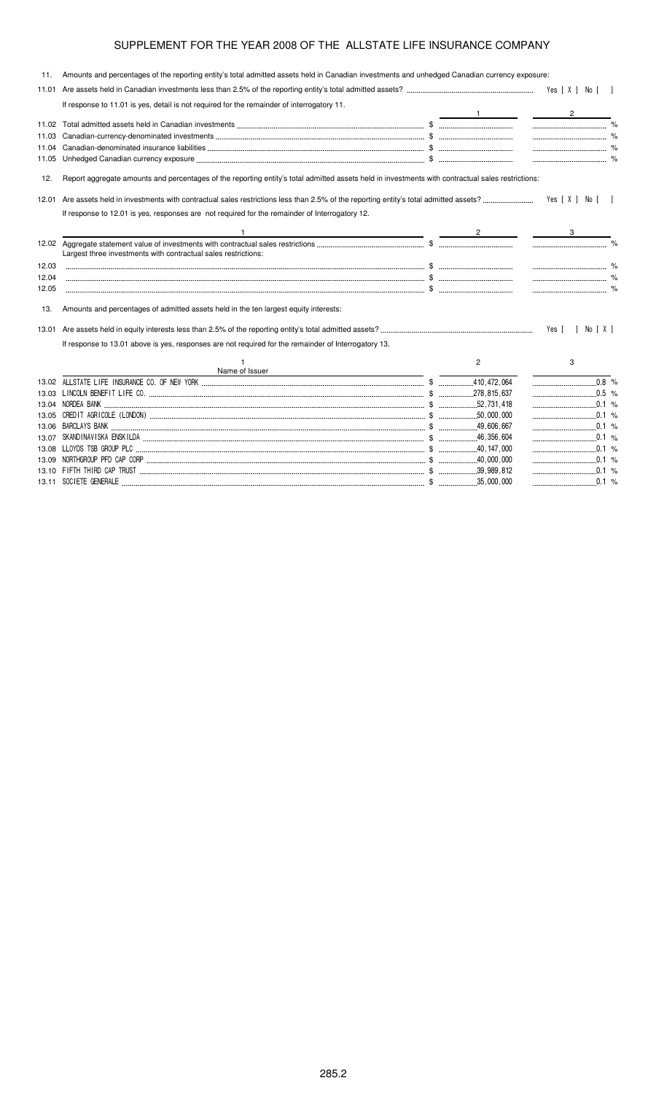| 11.   | Amounts and percentages of the reporting entity's total admitted assets held in Canadian investments and unhedged Canadian currency exposure:     |  |   |                             |  |
|-------|---------------------------------------------------------------------------------------------------------------------------------------------------|--|---|-----------------------------|--|
| 11.01 |                                                                                                                                                   |  |   |                             |  |
|       | If response to 11.01 is yes, detail is not required for the remainder of interrogatory 11.                                                        |  |   |                             |  |
|       |                                                                                                                                                   |  |   | $\frac{2}{\sqrt{2}}$        |  |
| 11.03 |                                                                                                                                                   |  |   | $\sim$ $\sim$ $\sim$ $\sim$ |  |
| 11.04 |                                                                                                                                                   |  |   |                             |  |
| 11.05 |                                                                                                                                                   |  |   |                             |  |
| 12.   | Report aggregate amounts and percentages of the reporting entity's total admitted assets held in investments with contractual sales restrictions: |  |   |                             |  |
| 12.01 |                                                                                                                                                   |  |   | Yes [ X ] No [ ]            |  |
|       | If response to 12.01 is yes, responses are not required for the remainder of Interrogatory 12.                                                    |  |   |                             |  |
|       | $\overbrace{\hspace{2.5cm}2\hspace{2.2cm}}^{2}$ $\overbrace{\hspace{2.5cm}3\hspace{2.2cm}}^{3}$                                                   |  |   |                             |  |
|       | Largest three investments with contractual sales restrictions:                                                                                    |  |   |                             |  |
| 12.03 |                                                                                                                                                   |  |   |                             |  |
| 12.04 |                                                                                                                                                   |  |   |                             |  |
| 12.05 |                                                                                                                                                   |  |   |                             |  |
| 13.   | Amounts and percentages of admitted assets held in the ten largest equity interests:                                                              |  |   |                             |  |
| 13.01 |                                                                                                                                                   |  |   | Yes [ ] No [ X ]            |  |
|       | If response to 13.01 above is yes, responses are not required for the remainder of Interrogatory 13.                                              |  |   |                             |  |
|       | Name of Issuer                                                                                                                                    |  | 2 | 3                           |  |
|       |                                                                                                                                                   |  |   |                             |  |
|       |                                                                                                                                                   |  |   |                             |  |
|       |                                                                                                                                                   |  |   |                             |  |
|       |                                                                                                                                                   |  |   | $\ldots$ 0.1 %              |  |
|       |                                                                                                                                                   |  |   |                             |  |
| 13.07 |                                                                                                                                                   |  |   | 0.1 %                       |  |
|       |                                                                                                                                                   |  |   |                             |  |
| 13.09 |                                                                                                                                                   |  |   |                             |  |
|       |                                                                                                                                                   |  |   |                             |  |

\$ "! %

)  \$ "''' %

13.11 SOCIETE GENERALE ...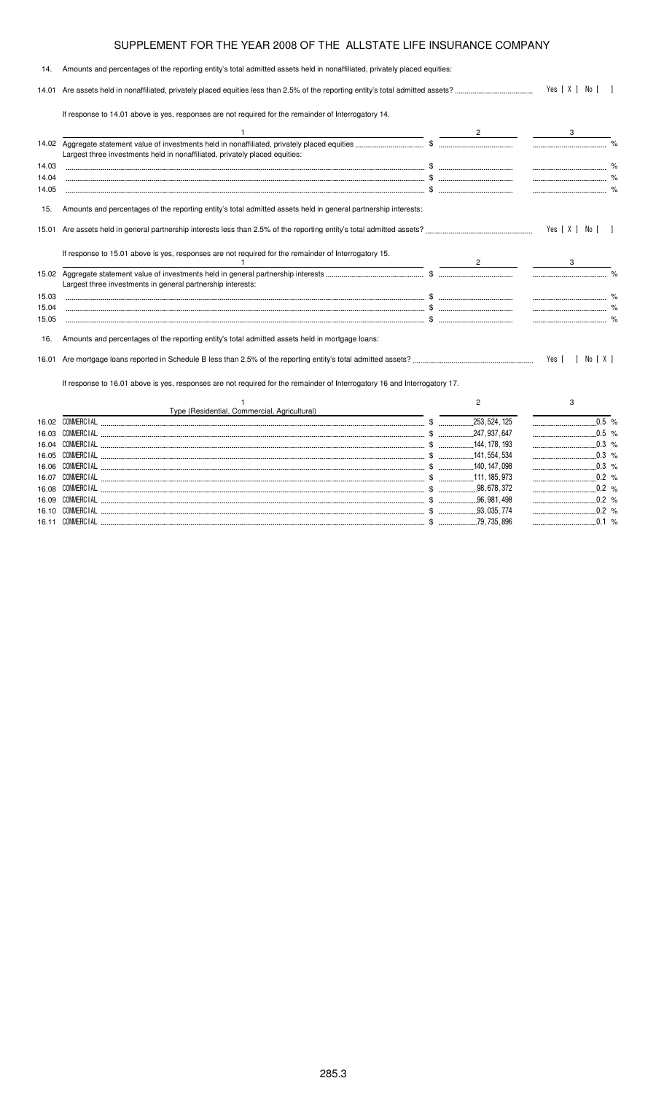| 14.   | Amounts and percentages of the reporting entity's total admitted assets held in nonaffiliated, privately placed equities:                                                               |  |                  |                      |
|-------|-----------------------------------------------------------------------------------------------------------------------------------------------------------------------------------------|--|------------------|----------------------|
|       |                                                                                                                                                                                         |  | Yes [ X ] No [ ] |                      |
|       | If response to 14.01 above is yes, responses are not required for the remainder of Interrogatory 14.                                                                                    |  |                  |                      |
|       |                                                                                                                                                                                         |  |                  |                      |
|       | Largest three investments held in nonaffiliated, privately placed equities:                                                                                                             |  |                  |                      |
| 14.03 |                                                                                                                                                                                         |  |                  |                      |
| 14.04 |                                                                                                                                                                                         |  |                  | $\sim$ $\sim$ $\sim$ |
| 14.05 |                                                                                                                                                                                         |  |                  |                      |
| 15.   | Amounts and percentages of the reporting entity's total admitted assets held in general partnership interests:                                                                          |  |                  |                      |
|       |                                                                                                                                                                                         |  |                  | Yes [ X ] No [ ]     |
|       | If response to 15.01 above is yes, responses are not required for the remainder of Interrogatory 15.<br>the contract of the contract of the contract of the contract of the contract of |  |                  |                      |
|       |                                                                                                                                                                                         |  |                  |                      |
|       | Largest three investments in general partnership interests:                                                                                                                             |  |                  |                      |
| 15.03 |                                                                                                                                                                                         |  |                  |                      |
| 15.04 |                                                                                                                                                                                         |  |                  |                      |
| 15.05 |                                                                                                                                                                                         |  |                  |                      |
| 16.   | Amounts and percentages of the reporting entity's total admitted assets held in mortgage loans:                                                                                         |  |                  |                      |
|       |                                                                                                                                                                                         |  |                  |                      |
|       | If response to 16.01 above is yes, responses are not required for the remainder of Interrogatory 16 and Interrogatory 17.                                                               |  |                  |                      |
|       |                                                                                                                                                                                         |  | $\overline{c}$   | 3                    |
|       | Type (Residential, Commercial, Agricultural)                                                                                                                                            |  |                  |                      |
|       |                                                                                                                                                                                         |  |                  | $0.5$ %              |
| 16.03 |                                                                                                                                                                                         |  |                  | $\ldots$ 0.5 %       |
| 16.04 |                                                                                                                                                                                         |  |                  |                      |
| 16.05 |                                                                                                                                                                                         |  |                  |                      |
|       |                                                                                                                                                                                         |  |                  | $0.3 %$              |

\$ %

16.09  \$ % 16.10  \$ %

\$ %

\$ %

16.07 COMMERC

16.08 COMMERC

16.11 COMMERC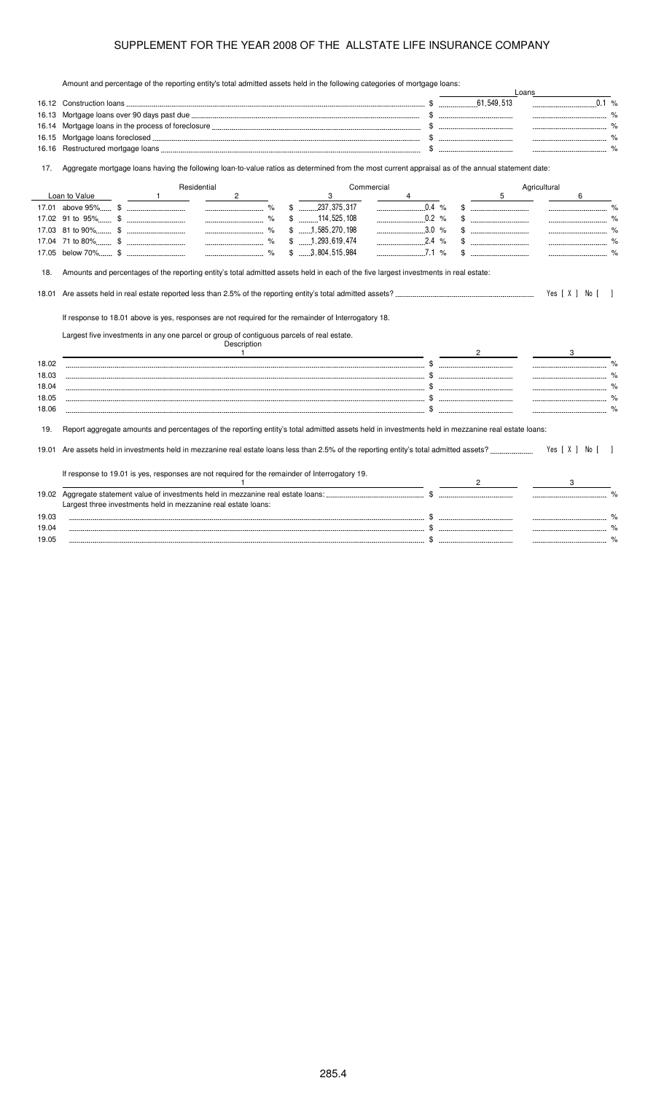Amount and percentage of the reporting entity's total admitted assets held in the following categories of mortgage loans:

|       |                                                                                                                                                                                                                                                                                                                                                                                                                                                          |                                           |                                                                                  |                                                                                                                                                                                                                                                                                                                                                                                                                                                                                       | Loans            |
|-------|----------------------------------------------------------------------------------------------------------------------------------------------------------------------------------------------------------------------------------------------------------------------------------------------------------------------------------------------------------------------------------------------------------------------------------------------------------|-------------------------------------------|----------------------------------------------------------------------------------|---------------------------------------------------------------------------------------------------------------------------------------------------------------------------------------------------------------------------------------------------------------------------------------------------------------------------------------------------------------------------------------------------------------------------------------------------------------------------------------|------------------|
|       |                                                                                                                                                                                                                                                                                                                                                                                                                                                          |                                           |                                                                                  | 61,549,513                                                                                                                                                                                                                                                                                                                                                                                                                                                                            | 0.1 %            |
|       |                                                                                                                                                                                                                                                                                                                                                                                                                                                          |                                           |                                                                                  |                                                                                                                                                                                                                                                                                                                                                                                                                                                                                       |                  |
|       |                                                                                                                                                                                                                                                                                                                                                                                                                                                          |                                           |                                                                                  |                                                                                                                                                                                                                                                                                                                                                                                                                                                                                       |                  |
|       |                                                                                                                                                                                                                                                                                                                                                                                                                                                          |                                           |                                                                                  |                                                                                                                                                                                                                                                                                                                                                                                                                                                                                       |                  |
| 16.16 |                                                                                                                                                                                                                                                                                                                                                                                                                                                          |                                           |                                                                                  |                                                                                                                                                                                                                                                                                                                                                                                                                                                                                       |                  |
| 17.   | Aggregate mortgage loans having the following loan-to-value ratios as determined from the most current appraisal as of the annual statement date:                                                                                                                                                                                                                                                                                                        |                                           |                                                                                  |                                                                                                                                                                                                                                                                                                                                                                                                                                                                                       |                  |
|       | Residential                                                                                                                                                                                                                                                                                                                                                                                                                                              | Commercial                                |                                                                                  |                                                                                                                                                                                                                                                                                                                                                                                                                                                                                       | Agricultural     |
|       | Loan to Value<br>2<br>$\overline{1}$                                                                                                                                                                                                                                                                                                                                                                                                                     | 3                                         |                                                                                  | 5                                                                                                                                                                                                                                                                                                                                                                                                                                                                                     | 6                |
|       |                                                                                                                                                                                                                                                                                                                                                                                                                                                          | $$$ 237,375,317                           | $\begin{array}{ccc} \multicolumn{3}{c} {\textbf{0.4}} & \textbf{\%} \end{array}$ | $\color{red} \$ \begin{array}{ccc} \color{red} \text{\bf 3} & \color{red} \text{\bf 4} & \color{red} \text{\bf 5} \\ \color{red} \text{\bf 6} & \color{red} \text{\bf 6} & \color{red} \text{\bf 7} \\ \color{red} \text{\bf 8} & \color{red} \text{\bf 9} & \color{red} \text{\bf 1} \\ \color{red} \text{\bf 1} & \color{red} \text{\bf 1} & \color{red} \text{\bf 1} \\ \color{red} \text{\bf 1} & \color{red} \text{\bf 1} & \color{red} \text{\bf 1} \\ \color{red} \text{\bf 1$ |                  |
|       |                                                                                                                                                                                                                                                                                                                                                                                                                                                          | $$$ 114,525,108                           | 0.2 %                                                                            | $\mathbb{S}$ . The substitution of $\mathbb{S}$                                                                                                                                                                                                                                                                                                                                                                                                                                       |                  |
|       |                                                                                                                                                                                                                                                                                                                                                                                                                                                          | $$$ 1.585.270.198                         | 3.0 %                                                                            |                                                                                                                                                                                                                                                                                                                                                                                                                                                                                       |                  |
|       |                                                                                                                                                                                                                                                                                                                                                                                                                                                          | $$$ 1, 293, 619, 474<br>$$$ 3,804,515,984 | $2.4\%$<br>$\ldots$ 7.1 %                                                        |                                                                                                                                                                                                                                                                                                                                                                                                                                                                                       |                  |
|       |                                                                                                                                                                                                                                                                                                                                                                                                                                                          |                                           |                                                                                  |                                                                                                                                                                                                                                                                                                                                                                                                                                                                                       |                  |
| 18.   | Amounts and percentages of the reporting entity's total admitted assets held in each of the five largest investments in real estate:                                                                                                                                                                                                                                                                                                                     |                                           |                                                                                  |                                                                                                                                                                                                                                                                                                                                                                                                                                                                                       |                  |
|       |                                                                                                                                                                                                                                                                                                                                                                                                                                                          |                                           |                                                                                  |                                                                                                                                                                                                                                                                                                                                                                                                                                                                                       |                  |
| 18.01 |                                                                                                                                                                                                                                                                                                                                                                                                                                                          |                                           |                                                                                  |                                                                                                                                                                                                                                                                                                                                                                                                                                                                                       | Yes [ X ] No [ ] |
|       | If response to 18.01 above is yes, responses are not required for the remainder of Interrogatory 18.<br>Largest five investments in any one parcel or group of contiguous parcels of real estate.<br>Description<br><u>and the contract of the contract of the contract of the contract of the contract of the contract of the contract of the contract of the contract of the contract of the contract of the contract of the contract of the contr</u> |                                           |                                                                                  |                                                                                                                                                                                                                                                                                                                                                                                                                                                                                       | 3 <sup>1</sup>   |
| 18.02 |                                                                                                                                                                                                                                                                                                                                                                                                                                                          |                                           |                                                                                  |                                                                                                                                                                                                                                                                                                                                                                                                                                                                                       |                  |
| 18.03 |                                                                                                                                                                                                                                                                                                                                                                                                                                                          |                                           |                                                                                  |                                                                                                                                                                                                                                                                                                                                                                                                                                                                                       |                  |
| 18.04 |                                                                                                                                                                                                                                                                                                                                                                                                                                                          |                                           |                                                                                  |                                                                                                                                                                                                                                                                                                                                                                                                                                                                                       |                  |
| 18.05 |                                                                                                                                                                                                                                                                                                                                                                                                                                                          |                                           |                                                                                  |                                                                                                                                                                                                                                                                                                                                                                                                                                                                                       |                  |
| 18.06 |                                                                                                                                                                                                                                                                                                                                                                                                                                                          |                                           |                                                                                  |                                                                                                                                                                                                                                                                                                                                                                                                                                                                                       |                  |
| 19.   | Report aggregate amounts and percentages of the reporting entity's total admitted assets held in investments held in mezzanine real estate loans:                                                                                                                                                                                                                                                                                                        |                                           |                                                                                  |                                                                                                                                                                                                                                                                                                                                                                                                                                                                                       |                  |
| 19.01 |                                                                                                                                                                                                                                                                                                                                                                                                                                                          |                                           |                                                                                  |                                                                                                                                                                                                                                                                                                                                                                                                                                                                                       | Yes [ X ] No [ ] |
|       | If response to 19.01 is yes, responses are not required for the remainder of Interrogatory 19.                                                                                                                                                                                                                                                                                                                                                           |                                           |                                                                                  |                                                                                                                                                                                                                                                                                                                                                                                                                                                                                       |                  |
|       |                                                                                                                                                                                                                                                                                                                                                                                                                                                          |                                           |                                                                                  |                                                                                                                                                                                                                                                                                                                                                                                                                                                                                       |                  |
|       | Largest three investments held in mezzanine real estate loans:                                                                                                                                                                                                                                                                                                                                                                                           |                                           |                                                                                  |                                                                                                                                                                                                                                                                                                                                                                                                                                                                                       |                  |
| 19.03 |                                                                                                                                                                                                                                                                                                                                                                                                                                                          |                                           |                                                                                  |                                                                                                                                                                                                                                                                                                                                                                                                                                                                                       |                  |
| 19.04 |                                                                                                                                                                                                                                                                                                                                                                                                                                                          |                                           |                                                                                  |                                                                                                                                                                                                                                                                                                                                                                                                                                                                                       |                  |
| 19.05 |                                                                                                                                                                                                                                                                                                                                                                                                                                                          |                                           |                                                                                  |                                                                                                                                                                                                                                                                                                                                                                                                                                                                                       |                  |